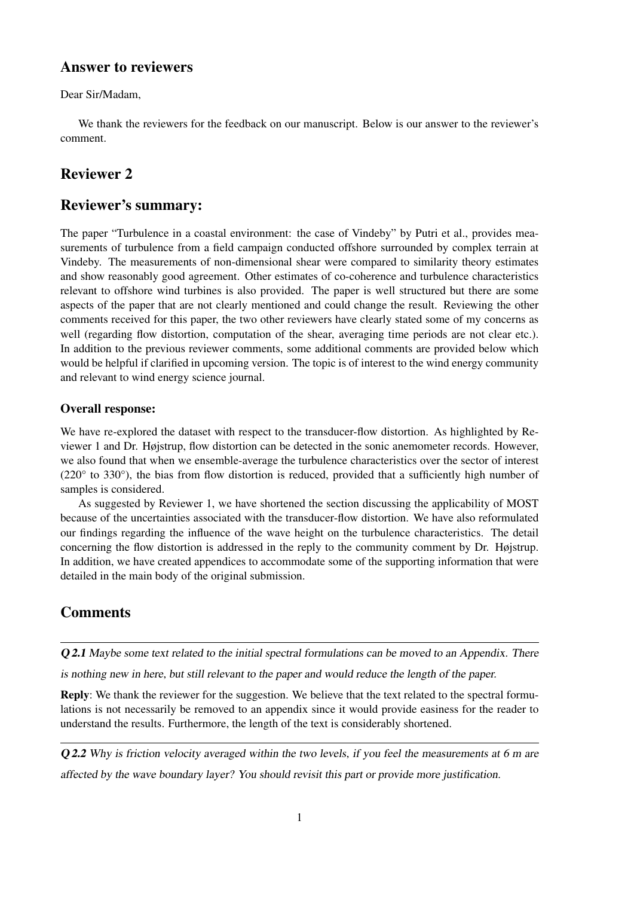### Answer to reviewers

Dear Sir/Madam,

We thank the reviewers for the feedback on our manuscript. Below is our answer to the reviewer's comment.

## Reviewer 2

## Reviewer's summary:

The paper "Turbulence in a coastal environment: the case of Vindeby" by Putri et al., provides measurements of turbulence from a field campaign conducted offshore surrounded by complex terrain at Vindeby. The measurements of non-dimensional shear were compared to similarity theory estimates and show reasonably good agreement. Other estimates of co-coherence and turbulence characteristics relevant to offshore wind turbines is also provided. The paper is well structured but there are some aspects of the paper that are not clearly mentioned and could change the result. Reviewing the other comments received for this paper, the two other reviewers have clearly stated some of my concerns as well (regarding flow distortion, computation of the shear, averaging time periods are not clear etc.). In addition to the previous reviewer comments, some additional comments are provided below which would be helpful if clarified in upcoming version. The topic is of interest to the wind energy community and relevant to wind energy science journal.

#### Overall response:

We have re-explored the dataset with respect to the transducer-flow distortion. As highlighted by Reviewer 1 and Dr. Højstrup, flow distortion can be detected in the sonic anemometer records. However, we also found that when we ensemble-average the turbulence characteristics over the sector of interest  $(220°)$  to 330°), the bias from flow distortion is reduced, provided that a sufficiently high number of samples is considered.

As suggested by Reviewer 1, we have shortened the section discussing the applicability of MOST because of the uncertainties associated with the transducer-flow distortion. We have also reformulated our findings regarding the influence of the wave height on the turbulence characteristics. The detail concerning the flow distortion is addressed in the reply to the community comment by Dr. Højstrup. In addition, we have created appendices to accommodate some of the supporting information that were detailed in the main body of the original submission.

# Comments

Q 2.1 Maybe some text related to the initial spectral formulations can be moved to an Appendix. There

is nothing new in here, but still relevant to the paper and would reduce the length of the paper.

Reply: We thank the reviewer for the suggestion. We believe that the text related to the spectral formulations is not necessarily be removed to an appendix since it would provide easiness for the reader to understand the results. Furthermore, the length of the text is considerably shortened.

**O2.2** Why is friction velocity averaged within the two levels, if you feel the measurements at 6 m are affected by the wave boundary layer? You should revisit this part or provide more justification.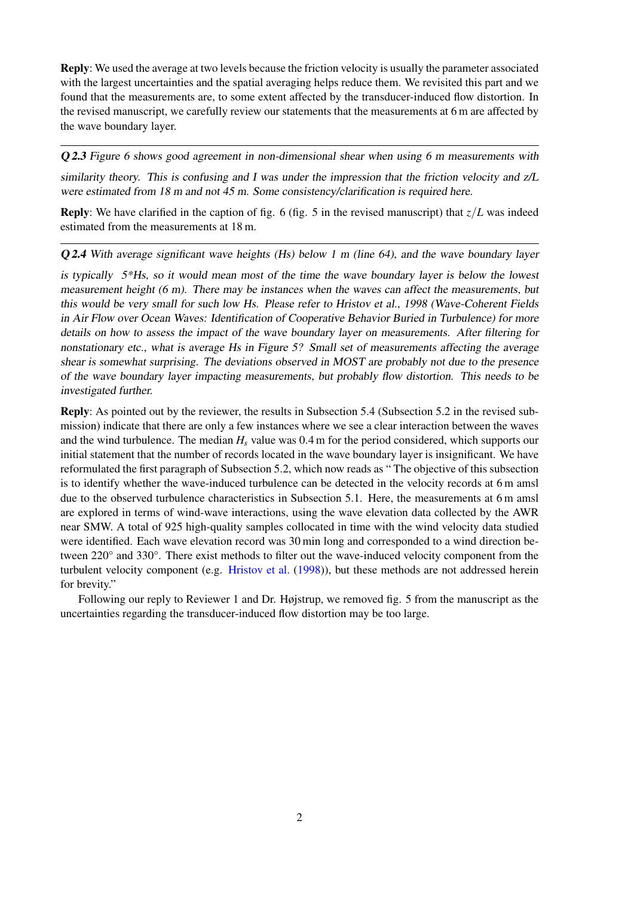Reply: We used the average at two levels because the friction velocity is usually the parameter associated with the largest uncertainties and the spatial averaging helps reduce them. We revisited this part and we found that the measurements are, to some extent affected by the transducer-induced flow distortion. In the revised manuscript, we carefully review our statements that the measurements at 6 m are affected by the wave boundary layer.

Q 2.3 Figure 6 shows good agreement in non-dimensional shear when using 6 m measurements with

similarity theory. This is confusing and I was under the impression that the friction velocity and z/L were estimated from 18 m and not 45 m. Some consistency/clarification is required here.

**Reply**: We have clarified in the caption of fig. 6 (fig. 5 in the revised manuscript) that  $z/L$  was indeed estimated from the measurements at 18 m.

Q 2.4 With average significant wave heights (Hs) below 1 m (line 64), and the wave boundary layer

is typically 5\*Hs, so it would mean most of the time the wave boundary layer is below the lowest measurement height (6 m). There may be instances when the waves can affect the measurements, but this would be very small for such low Hs. Please refer to Hristov et al., 1998 (Wave-Coherent Fields in Air Flow over Ocean Waves: Identification of Cooperative Behavior Buried in Turbulence) for more details on how to assess the impact of the wave boundary layer on measurements. After filtering for nonstationary etc., what is average Hs in Figure 5? Small set of measurements affecting the average shear is somewhat surprising. The deviations observed in MOST are probably not due to the presence of the wave boundary layer impacting measurements, but probably flow distortion. This needs to be investigated further.

Reply: As pointed out by the reviewer, the results in Subsection 5.4 (Subsection 5.2 in the revised submission) indicate that there are only a few instances where we see a clear interaction between the waves and the wind turbulence. The median  $H_s$  value was 0.4 m for the period considered, which supports our initial statement that the number of records located in the wave boundary layer is insignificant. We have reformulated the first paragraph of Subsection 5.2, which now reads as " The objective of this subsection is to identify whether the wave-induced turbulence can be detected in the velocity records at 6 m amsl due to the observed turbulence characteristics in Subsection 5.1. Here, the measurements at 6 m amsl are explored in terms of wind-wave interactions, using the wave elevation data collected by the AWR near SMW. A total of 925 high-quality samples collocated in time with the wind velocity data studied were identified. Each wave elevation record was 30 min long and corresponded to a wind direction between 220° and 330°. There exist methods to filter out the wave-induced velocity component from the turbulent velocity component (e.g. [Hristov et al.](#page-2-0) [\(1998\)](#page-2-0)), but these methods are not addressed herein for brevity."

Following our reply to Reviewer 1 and Dr. Højstrup, we removed fig. 5 from the manuscript as the uncertainties regarding the transducer-induced flow distortion may be too large.